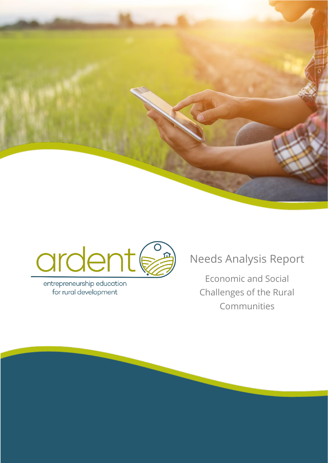



entrepreneurship education for rural development

# Needs Analysis Report

Economic and Social Challenges of the Rural Communities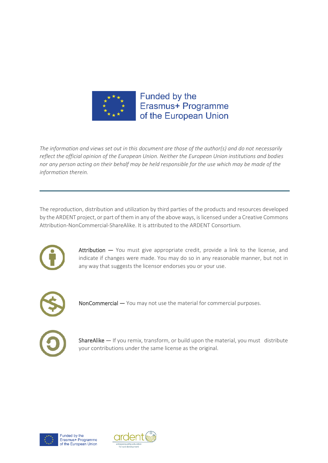

*The information and views set out in this document are those of the author(s) and do not necessarily reflect the official opinion of the European Union. Neither the European Union institutions and bodies nor any person acting on their behalf may be held responsible for the use which may be made of the information therein.*

The reproduction, distribution and utilization by third parties of the products and resources developed by the ARDENT project, or part of them in any of the above ways, is licensed under a Creative Commons Attribution-NonCommercial-ShareAlike. It is attributed to the ARDENT Consortium.



Attribution - You must give appropriate credit, provide a link to the license, and indicate if changes were made. You may do so in any reasonable manner, but not in any way that suggests the licensor endorses you or your use.



NonCommercial — You may not use the material for commercial purposes.



ShareAlike  $-$  If you remix, transform, or build upon the material, you must distribute your contributions under the same license as the original.



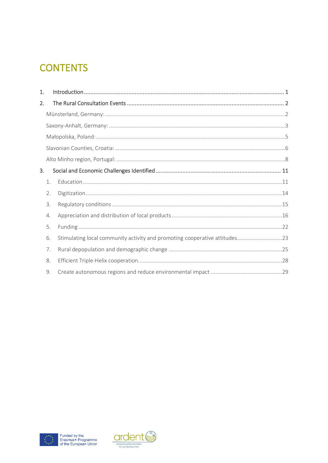# **CONTENTS**

| 1. |    |                                                                            |
|----|----|----------------------------------------------------------------------------|
| 2. |    |                                                                            |
|    |    |                                                                            |
|    |    |                                                                            |
|    |    |                                                                            |
|    |    |                                                                            |
|    |    |                                                                            |
| 3. |    |                                                                            |
|    | 1. |                                                                            |
|    | 2. |                                                                            |
|    | 3. |                                                                            |
|    | 4. |                                                                            |
|    | 5. |                                                                            |
|    | 6. | Stimulating local community activity and promoting cooperative attitudes23 |
|    | 7. |                                                                            |
|    | 8. |                                                                            |
|    | 9. |                                                                            |



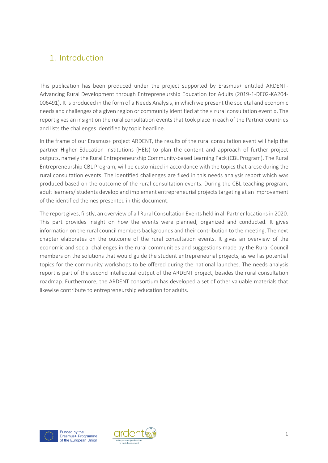# <span id="page-3-0"></span>1. Introduction

This publication has been produced under the project supported by Erasmus+ entitled ARDENT-Advancing Rural Development through Entrepreneurship Education for Adults (2019-1-DE02-KA204- 006491). It is produced in the form of a Needs Analysis, in which we present the societal and economic needs and challenges of a given region or community identified at the « rural consultation event ». The report gives an insight on the rural consultation events that took place in each of the Partner countries and lists the challenges identified by topic headline.

In the frame of our Erasmus+ project ARDENT, the results of the rural consultation event will help the partner Higher Education Institutions (HEIs) to plan the content and approach of further project outputs, namely the Rural Entrepreneurship Community-based Learning Pack (CBL Program). The Rural Entrepreneurship CBL Program, will be customized in accordance with the topics that arose during the rural consultation events. The identified challenges are fixed in this needs analysis report which was produced based on the outcome of the rural consultation events. During the CBL teaching program, adult learners/ students develop and implement entrepreneurial projects targeting at an improvement of the identified themes presented in this document.

The report gives, firstly, an overview of all Rural Consultation Events held in all Partner locations in 2020. This part provides insight on how the events were planned, organized and conducted. It gives information on the rural council members backgrounds and their contribution to the meeting. The next chapter elaborates on the outcome of the rural consultation events. It gives an overview of the economic and social challenges in the rural communities and suggestions made by the Rural Council members on the solutions that would guide the student entrepreneurial projects, as well as potential topics for the community workshops to be offered during the national launches. The needs analysis report is part of the second intellectual output of the ARDENT project, besides the rural consultation roadmap. Furthermore, the ARDENT consortium has developed a set of other valuable materials that likewise contribute to entrepreneurship education for adults.



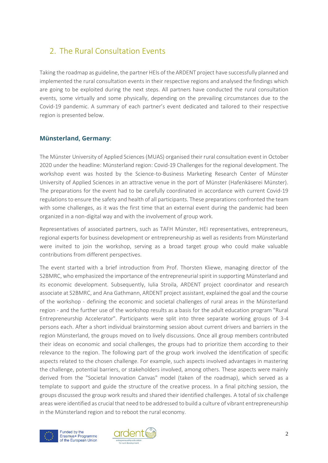# <span id="page-4-0"></span>2. The Rural Consultation Events

Taking the roadmap as guideline, the partner HEIs of the ARDENT project have successfully planned and implemented the rural consultation events in their respective regions and analysed the findings which are going to be exploited during the next steps. All partners have conducted the rural consultation events, some virtually and some physically, depending on the prevailing circumstances due to the Covid-19 pandemic. A summary of each partner's event dedicated and tailored to their respective region is presented below.

# <span id="page-4-1"></span>**Münsterland, Germany**:

The Münster University of Applied Sciences (MUAS) organised their rural consultation event in October 2020 under the headline: Münsterland region: Covid-19 Challenges for the regional development. The workshop event was hosted by the Science-to-Business Marketing Research Center of Münster University of Applied Sciences in an attractive venue in the port of Münster (Hafenkäserei Münster). The preparations for the event had to be carefully coordinated in accordance with current Covid-19 regulations to ensure the safety and health of all participants. These preparations confronted the team with some challenges, as it was the first time that an external event during the pandemic had been organized in a non-digital way and with the involvement of group work.

Representatives of associated partners, such as TAFH Münster, HEI representatives, entrepreneurs, regional experts for business development or entrepreneurship as well as residents from Münsterland were invited to join the workshop, serving as a broad target group who could make valuable contributions from different perspectives.

The event started with a brief introduction from Prof. Thorsten Kliewe, managing director of the S2BMRC, who emphasized the importance of the entrepreneurial spirit in supporting Münsterland and its economic development. Subsequently, Iulia Stroila, ARDENT project coordinator and research associate at S2BMRC, and Ana Gathmann, ARDENT project assistant, explained the goal and the course of the workshop - defining the economic and societal challenges of rural areas in the Münsterland region - and the further use of the workshop results as a basis for the adult education program "Rural Entrepreneurship Accelerator". Participants were split into three separate working groups of 3-4 persons each. After a short individual brainstorming session about current drivers and barriers in the region Münsterland, the groups moved on to lively discussions. Once all group members contributed their ideas on economic and social challenges, the groups had to prioritize them according to their relevance to the region. The following part of the group work involved the identification of specific aspects related to the chosen challenge. For example, such aspects involved advantages in mastering the challenge, potential barriers, or stakeholders involved, among others. These aspects were mainly derived from the "Societal Innovation Canvas" model (taken of the roadmap), which served as a template to support and guide the structure of the creative process. In a final pitching session, the groups discussed the group work results and shared their identified challenges. A total of six challenge areas were identified as crucial that need to be addressed to build a culture of vibrant entrepreneurship in the Münsterland region and to reboot the rural economy.



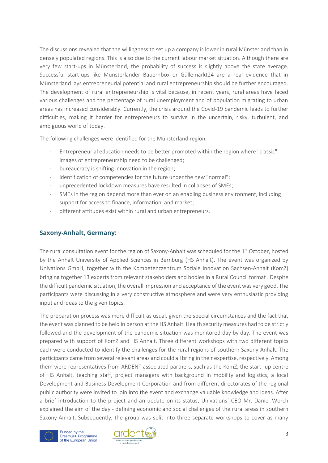The discussions revealed that the willingness to set up a company is lower in rural Münsterland than in densely populated regions. This is also due to the current labour market situation. Although there are very few start-ups in Münsterland, the probability of success is slightly above the state average. Successful start-ups like Münsterlander Bauernbox or Güllemarkt24 are a real evidence that in Münsterland lays entrepreneurial potential and rural entrepreneurship should be further encouraged. The development of rural entrepreneurship is vital because, in recent years, rural areas have faced various challenges and the percentage of rural unemployment and of population migrating to urban areas has increased considerably. Currently, the crisis around the Covid-19 pandemic leads to further difficulties, making it harder for entrepreneurs to survive in the uncertain, risky, turbulent, and ambiguous world of today.

The following challenges were identified for the Münsterland region:

- Entrepreneurial education needs to be better promoted within the region where "classic" images of entrepreneurship need to be challenged;
- bureaucracy is shifting innovation in the region;
- identification of competencies for the future under the new "normal";
- unprecedented lockdown measures have resulted in collapses of SMEs;
- SMEs in the region depend more than ever on an enabling business environment, including support for access to finance, information, and market;
- different attitudes exist within rural and urban entrepreneurs.

# <span id="page-5-0"></span>**Saxony-Anhalt, Germany:**

The rural consultation event for the region of Saxony-Anhalt was scheduled for the 1<sup>st</sup> October, hosted by the Anhalt University of Applied Sciences in Bernburg (HS Anhalt). The event was organized by Univations GmbH, together with the Kompetenzzentrum Soziale Innovation Sachsen-Anhalt (KomZ) bringing together 13 experts from relevant stakeholders and bodies in a Rural Council format. Despite the difficult pandemic situation, the overall impression and acceptance of the event was very good. The participants were discussing in a very constructive atmosphere and were very enthusiastic providing input and ideas to the given topics.

The preparation process was more difficult as usual, given the special circumstances and the fact that the event was planned to be held in person at the HS Anhalt. Health security measures had to be strictly followed and the development of the pandemic situation was monitored day by day. The event was prepared with support of KomZ and HS Anhalt. Three different workshops with two different topics each were conducted to identify the challenges for the rural regions of southern Saxony-Anhalt. The participants came from several relevant areas and could all bring in their expertise, respectively. Among them were representatives from ARDENT associated partners, such as the KomZ, the start- up centre of HS Anhalt, teaching staff, project managers with background in mobility and logistics, a local Development and Business Development Corporation and from different directorates of the regional public authority were invited to join into the event and exchange valuable knowledge and ideas. After a brief introduction to the project and an update on its status, Univations´ CEO Mr. Daniel Worch explained the aim of the day - defining economic and social challenges of the rural areas in southern Saxony-Anhalt. Subsequently, the group was split into three separate workshops to cover as many



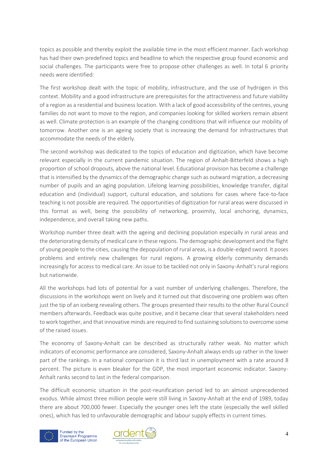topics as possible and thereby exploit the available time in the most efficient manner. Each workshop has had their own predefined topics and headline to which the respective group found economic and social challenges. The participants were free to propose other challenges as well. In total 6 priority needs were identified:

The first workshop dealt with the topic of mobility, infrastructure, and the use of hydrogen in this context. Mobility and a good infrastructure are prerequisites for the attractiveness and future viability of a region as a residential and business location. With a lack of good accessibility of the centres, young families do not want to move to the region, and companies looking for skilled workers remain absent as well. Climate protection is an example of the changing conditions that will influence our mobility of tomorrow. Another one is an ageing society that is increasing the demand for infrastructures that accommodate the needs of the elderly.

The second workshop was dedicated to the topics of education and digitization, which have become relevant especially in the current pandemic situation. The region of Anhalt-Bitterfeld shows a high proportion of school dropouts, above the national level. Educational provision has become a challenge that is intensified by the dynamics of the demographic change such as outward migration, a decreasing number of pupils and an aging population. Lifelong learning possibilities, knowledge transfer, digital education and (individual) support, cultural education, and solutions for cases where face-to-face teaching is not possible are required. The opportunities of digitization for rural areas were discussed in this format as well, being the possibility of networking, proximity, local anchoring, dynamics, independence, and overall taking new paths.

Workshop number three dealt with the ageing and declining population especially in rural areas and the deteriorating density of medical care in these regions. The demographic development and the flight of young people to the cities, causing the depopulation of rural areas, is a double-edged sword. It poses problems and entirely new challenges for rural regions. A growing elderly community demands increasingly for access to medical care. An issue to be tackled not only in Saxony-Anhalt's rural regions but nationwide.

All the workshops had lots of potential for a vast number of underlying challenges. Therefore, the discussions in the workshops went on lively and it turned out that discovering one problem was often just the tip of an iceberg revealing others. The groups presented their results to the other Rural Council members afterwards. Feedback was quite positive, and it became clear that several stakeholders need to work together, and that innovative minds are required to find sustaining solutions to overcome some of the raised issues.

The economy of Saxony-Anhalt can be described as structurally rather weak. No matter which indicators of economic performance are considered, Saxony-Anhalt always ends up rather in the lower part of the rankings. In a national comparison it is third last in unemployment with a rate around 8 percent. The picture is even bleaker for the GDP, the most important economic indicator. Saxony-Anhalt ranks second to last in the federal comparison.

The difficult economic situation in the post-reunification period led to an almost unprecedented exodus. While almost three million people were still living in Saxony-Anhalt at the end of 1989, today there are about 700,000 fewer. Especially the younger ones left the state (especially the well skilled ones), which has led to unfavourable demographic and labour supply effects in current times.



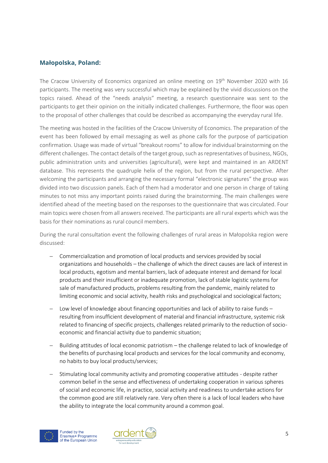# <span id="page-7-0"></span>**Małopolska, Poland:**

The Cracow University of Economics organized an online meeting on 19<sup>th</sup> November 2020 with 16 participants. The meeting was very successful which may be explained by the vivid discussions on the topics raised. Ahead of the "needs analysis" meeting, a research questionnaire was sent to the participants to get their opinion on the initially indicated challenges. Furthermore, the floor was open to the proposal of other challenges that could be described as accompanying the everyday rural life.

The meeting was hosted in the facilities of the Cracow University of Economics. The preparation of the event has been followed by email messaging as well as phone calls for the purpose of participation confirmation. Usage was made of virtual "breakout rooms" to allow for individual brainstorming on the different challenges. The contact details of the target group, such as representatives of business, NGOs, public administration units and universities (agricultural), were kept and maintained in an ARDENT database. This represents the quadruple helix of the region, but from the rural perspective. After welcoming the participants and arranging the necessary formal "electronic signatures" the group was divided into two discussion panels. Each of them had a moderator and one person in charge of taking minutes to not miss any important points raised during the brainstorming. The main challenges were identified ahead of the meeting based on the responses to the questionnaire that was circulated. Four main topics were chosen from all answers received. The participants are all rural experts which was the basis for their nominations as rural council members.

During the rural consultation event the following challenges of rural areas in Małopolska region were discussed:

- − Commercialization and promotion of local products and services provided by social organizations and households – the challenge of which the direct causes are lack of interest in local products, egotism and mental barriers, lack of adequate interest and demand for local products and their insufficient or inadequate promotion, lack of stable logistic systems for sale of manufactured products, problems resulting from the pandemic, mainly related to limiting economic and social activity, health risks and psychological and sociological factors;
- − Low level of knowledge about financing opportunities and lack of ability to raise funds resulting from insufficient development of material and financial infrastructure, systemic risk related to financing of specific projects, challenges related primarily to the reduction of socioeconomic and financial activity due to pandemic situation;
- Building attitudes of local economic patriotism the challenge related to lack of knowledge of the benefits of purchasing local products and services for the local community and economy, no habits to buy local products/services;
- Stimulating local community activity and promoting cooperative attitudes despite rather common belief in the sense and effectiveness of undertaking cooperation in various spheres of social and economic life, in practice, social activity and readiness to undertake actions for the common good are still relatively rare. Very often there is a lack of local leaders who have the ability to integrate the local community around a common goal.



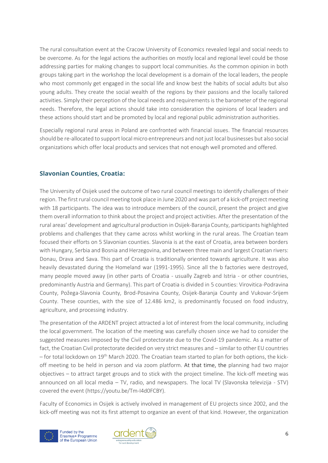The rural consultation event at the Cracow University of Economics revealed legal and social needs to be overcome. As for the legal actions the authorities on mostly local and regional level could be those addressing parties for making changes to support local communities. As the common opinion in both groups taking part in the workshop the local development is a domain of the local leaders, the people who most commonly get engaged in the social life and know best the habits of social adults but also young adults. They create the social wealth of the regions by their passions and the locally tailored activities. Simply their perception of the local needs and requirements is the barometer of the regional needs. Therefore, the legal actions should take into consideration the opinions of local leaders and these actions should start and be promoted by local and regional public administration authorities.

Especially regional rural areas in Poland are confronted with financial issues. The financial resources should be re-allocated to support local micro entrepreneurs and not just local businesses but also social organizations which offer local products and services that not enough well promoted and offered.

# <span id="page-8-0"></span>**Slavonian Counties, Croatia:**

The University of Osijek used the outcome of two rural council meetings to identify challenges of their region. The first rural council meeting took place in June 2020 and was part of a kick-off project meeting with 18 participants. The idea was to introduce members of the council, present the project and give them overall information to think about the project and project activities. After the presentation of the rural areas' development and agricultural production in Osijek-Baranja County, participants highlighted problems and challenges that they came across whilst working in the rural areas. The Croatian team focused their efforts on 5 Slavonian counties. Slavonia is at the east of Croatia, area between borders with Hungary, Serbia and Bosnia and Herzegovina, and between three main and largest Croatian rivers: Donau, Drava and Sava. This part of Croatia is traditionally oriented towards agriculture. It was also heavily devastated during the Homeland war (1991-1995). Since all the b factories were destroyed, many people moved away (in other parts of Croatia - usually Zagreb and Istria - or other countries, predominantly Austria and Germany). This part of Croatia is divided in 5 counties: Virovitica-Podravina County, Požega-Slavonia County, Brod-Posavina County, Osijek-Baranja County and Vukovar-Srijem County. These counties, with the size of 12.486 km2, is predominantly focused on food industry, agriculture, and processing industry.

The presentation of the ARDENT project attracted a lot of interest from the local community, including the local government. The location of the meeting was carefully chosen since we had to consider the suggested measures imposed by the Civil protectorate due to the Covid-19 pandemic. As a matter of fact, the Croatian Civil protectorate decided on very strict measures and – similar to other EU countries – for total lockdown on 19th March 2020. The Croatian team started to plan for both options, the kickoff meeting to be held in person and via zoom platform. At that time, the planning had two major objectives – to attract target groups and to stick with the project timeline. The kick-off meeting was announced on all local media – TV, radio, and newspapers. The local TV (Slavonska televizija - STV) covered the event [\(https://youtu.be/Tm-I4d0FCBY\)](https://youtu.be/Tm-I4d0FCBY).

Faculty of Economics in Osijek is actively involved in management of EU projects since 2002, and the kick-off meeting was not its first attempt to organize an event of that kind. However, the organization



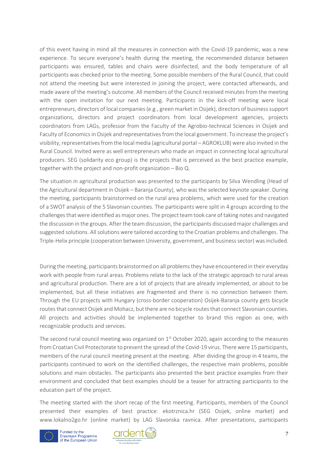of this event having in mind all the measures in connection with the Covid-19 pandemic, was a new experience. To secure everyone's health during the meeting, the recommended distance between participants was ensured, tables and chairs were disinfected, and the body temperature of all participants was checked prior to the meeting. Some possible members of the Rural Council, that could not attend the meeting but were interested in joining the project, were contacted afterwards, and made aware of the meeting's outcome. All members of the Council received minutes from the meeting with the open invitation for our next meeting. Participants in the kick-off meeting were local entrepreneurs, directors of local companies (e.g., green market in Osijek), directors of business support organizations, directors and project coordinators from local development agencies, projects coordinators from LAGs, professor from the Faculty of the Agrobio-technical Sciences in Osijek and Faculty of Economics in Osijek and representatives from the local government. To increase the project's visibility, representatives from the local media (agricultural portal – AGROKLUB) were also invited in the Rural Council. Invited were as well entrepreneurs who made an impact in connecting local agricultural producers. SEG (solidarity eco group) is the projects that is perceived as the best practice example, together with the project and non-profit organization – Bio Q.

The situation in agricultural production was presented to the participants by Silva Wendling (Head of the Agricultural department in Osijek – Baranja County), who was the selected keynote speaker. During the meeting, participants brainstormed on the rural area problems, which were used for the creation of a SWOT analysis of the 5 Slavonian counties. The participants were split in 4 groups according to the challenges that were identified as major ones. The project team took care of taking notes and navigated the discussion in the groups. After the team discussion, the participants discussed major challenges and suggested solutions. All solutions were tailored according to the Croatian problems and challenges. The Triple-Helix principle (cooperation between University, government, and business sector) was included.

During the meeting, participants brainstormed on all problems they have encountered in their everyday work with people from rural areas. Problems relate to the lack of the strategic approach to rural areas and agricultural production. There are a lot of projects that are already implemented, or about to be implemented, but all these initiatives are fragmented and there is no connection between them. Through the EU projects with Hungary (cross-border cooperation) Osijek-Baranja county gets bicycle routes that connect Osijek and Mohacz, but there are no bicycle routes that connect Slavonian counties. All projects and activities should be implemented together to brand this region as one, with recognizable products and services.

The second rural council meeting was organized on  $1<sup>st</sup>$  October 2020, again according to the measures from Croatian Civil Protectorate to prevent the spread of the Covid-19 virus. There were 15 participants, members of the rural council meeting present at the meeting. After dividing the group in 4 teams, the participants continued to work on the identified challenges, the respective main problems, possible solutions and main obstacles. The participants also presented the best practice examples from their environment and concluded that best examples should be a teaser for attracting participants to the education part of the project.

The meeting started with the short recap of the first meeting. Participants, members of the Council presented their examples of best practice: ekotrznica.hr (SEG Osijek, online market) and www.lokalno2go.hr (online market) by LAG Slavonska ravnica. After presentations, participants



Funded by the Erasmus+ Programme<br>of the European Union

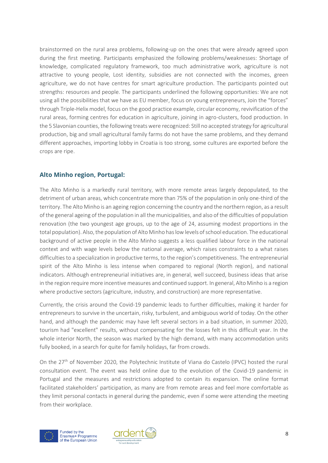brainstormed on the rural area problems, following-up on the ones that were already agreed upon during the first meeting. Participants emphasized the following problems/weaknesses: Shortage of knowledge, complicated regulatory framework, too much administrative work, agriculture is not attractive to young people, Lost identity, subsidies are not connected with the incomes, green agriculture, we do not have centres for smart agriculture production. The participants pointed out strengths: resources and people. The participants underlined the following opportunities: We are not using all the possibilities that we have as EU member, focus on young entrepreneurs, Join the "forces" through Triple-Helix model, focus on the good practice example, circular economy, revivification of the rural areas, forming centres for education in agriculture, joining in agro-clusters, food production. In the 5 Slavonian counties, the following treats were recognized: Still no accepted strategy for agricultural production, big and small agricultural family farms do not have the same problems, and they demand different approaches, importing lobby in Croatia is too strong, some cultures are exported before the crops are ripe.

# <span id="page-10-0"></span>**Alto Minho region, Portugal:**

The Alto Minho is a markedly rural territory, with more remote areas largely depopulated, to the detriment of urban areas, which concentrate more than 75% of the population in only one-third of the territory. The Alto Minho is an ageing region concerning the country and the northern region, as a result of the general ageing of the population in all the municipalities, and also of the difficulties of population renovation (the two youngest age groups, up to the age of 24, assuming modest proportions in the total population). Also, the population of Alto Minho has low levels of school education. The educational background of active people in the Alto Minho suggests a less qualified labour force in the national context and with wage levels below the national average, which raises constraints to a what raises difficulties to a specialization in productive terms, to the region's competitiveness. The entrepreneurial spirit of the Alto Minho is less intense when compared to regional (North region), and national indicators. Although entrepreneurial initiatives are, in general, well succeed, business ideas that arise in the region require more incentive measures and continued support. In general, Alto Minho is a region where productive sectors (agriculture, industry, and construction) are more representative.

Currently, the crisis around the Covid-19 pandemic leads to further difficulties, making it harder for entrepreneurs to survive in the uncertain, risky, turbulent, and ambiguous world of today. On the other hand, and although the pandemic may have left several sectors in a bad situation, in summer 2020, tourism had "excellent" results, without compensating for the losses felt in this difficult year. In the whole interior North, the season was marked by the high demand, with many accommodation units fully booked, in a search for quite for family holidays, far from crowds.

On the 27<sup>th</sup> of November 2020, the Polytechnic Institute of Viana do Castelo (IPVC) hosted the rural consultation event. The event was held online due to the evolution of the Covid-19 pandemic in Portugal and the measures and restrictions adopted to contain its expansion. The online format facilitated stakeholders' participation, as many are from remote areas and feel more comfortable as they limit personal contacts in general during the pandemic, even if some were attending the meeting from their workplace.



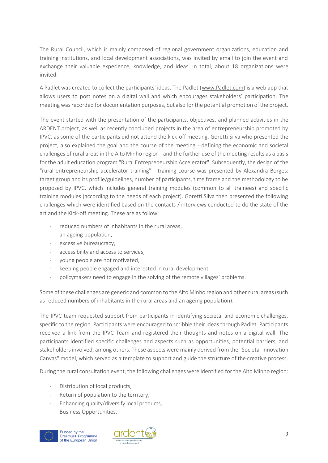The Rural Council, which is mainly composed of regional government organizations, education and training institutions, and local development associations, was invited by email to join the event and exchange their valuable experience, knowledge, and ideas. In total, about 18 organizations were invited.

A Padlet was created to collect the participants' ideas. The Padlet [\(www.Padlet.com\)](http://www.padlet.com/) is a web app that allows users to post notes on a digital wall and which encourages stakeholders' participation. The meeting was recorded for documentation purposes, but also for the potential promotion of the project.

The event started with the presentation of the participants, objectives, and planned activities in the ARDENT project, as well as recently concluded projects in the area of entrepreneurship promoted by IPVC, as some of the participants did not attend the kick-off meeting. Goretti Silva who presented the project, also explained the goal and the course of the meeting - defining the economic and societal challenges of rural areas in the Alto Minho region - and the further use of the meeting results as a basis for the adult education program "Rural Entrepreneurship Accelerator". Subsequently, the design of the "rural entrepreneurship accelerator training" - training course was presented by Alexandra Borges: target group and its profile/guidelines, number of participants, time frame and the methodology to be proposed by IPVC, which includes general training modules (common to all trainees) and specific training modules (according to the needs of each project). Goretti Silva then presented the following challenges which were identified based on the contacts / interviews conducted to do the state of the art and the Kick-off meeting. These are as follow:

- reduced numbers of inhabitants in the rural areas,
- an ageing population,
- excessive bureaucracy,
- accessibility and access to services.
- young people are not motivated,
- keeping people engaged and interested in rural development.
- policymakers need to engage in the solving of the remote villages' problems.

Some of these challenges are generic and common to the Alto Minho region and other rural areas (such as reduced numbers of inhabitants in the rural areas and an ageing population).

The IPVC team requested support from participants in identifying societal and economic challenges, specific to the region. Participants were encouraged to scribble their ideas through Padlet. Participants received a link from the IPVC Team and registered their thoughts and notes on a digital wall. The participants identified specific challenges and aspects such as opportunities, potential barriers, and stakeholders involved, among others. These aspects were mainly derived from the "Societal Innovation Canvas" model, which served as a template to support and guide the structure of the creative process.

During the rural consultation event, the following challenges were identified for the Alto Minho region:

- Distribution of local products,
- Return of population to the territory.
- Enhancing quality/diversify local products,
- Business Opportunities,



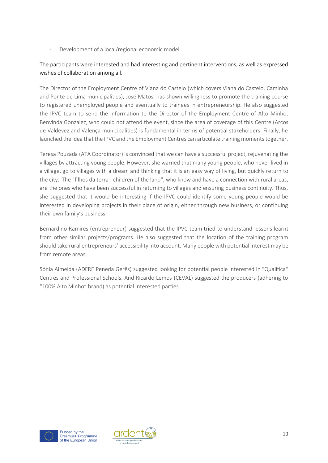- Development of a local/regional economic model.

# The participants were interested and had interesting and pertinent interventions, as well as expressed wishes of collaboration among all.

The Director of the Employment Centre of Viana do Castelo (which covers Viana do Castelo, Caminha and Ponte de Lima municipalities), José Matos, has shown willingness to promote the training course to registered unemployed people and eventually to trainees in entrepreneurship. He also suggested the IPVC team to send the information to the Director of the Employment Centre of Alto Minho, Benvinda Gonzalez, who could not attend the event, since the area of coverage of this Centre (Arcos de Valdevez and Valença municipalities) is fundamental in terms of potential stakeholders. Finally, he launched the idea that the IPVC and the Employment Centres can articulate training moments together.

Teresa Pouzada (ATA Coordinator) is convinced that we can have a successful project, rejuvenating the villages by attracting young people. However, she warned that many young people, who never lived in a village, go to villages with a dream and thinking that it is an easy way of living, but quickly return to the city. The "filhos da terra - children of the land", who know and have a connection with rural areas, are the ones who have been successful in returning to villages and ensuring business continuity. Thus, she suggested that it would be interesting if the IPVC could identify some young people would be interested in developing projects in their place of origin, either through new business, or continuing their own family's business.

Bernardino Ramires (entrepreneur) suggested that the IPVC team tried to understand lessons learnt from other similar projects/programs. He also suggested that the location of the training program should take rural entrepreneurs' accessibility into account. Many people with potential interest may be from remote areas.

Sónia Almeida (ADERE Peneda Gerês) suggested looking for potential people interested in "Qualifica" Centres and Professional Schools. And Ricardo Lemos (CEVAL) suggested the producers (adhering to "100% Alto Minho" brand) as potential interested parties.



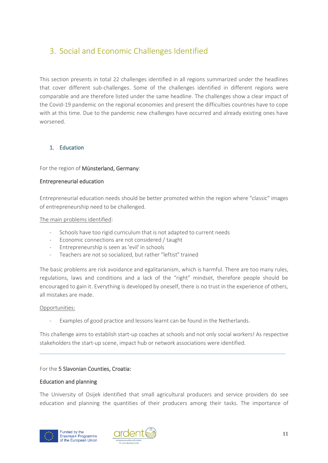# <span id="page-13-0"></span>3. Social and Economic Challenges Identified

This section presents in total 22 challenges identified in all regions summarized under the headlines that cover different sub-challenges. Some of the challenges identified in different regions were comparable and are therefore listed under the same headline. The challenges show a clear impact of the Covid-19 pandemic on the regional economies and present the difficulties countries have to cope with at this time. Due to the pandemic new challenges have occurred and already existing ones have worsened.

## <span id="page-13-1"></span>1. Education

## For the region of Münsterland, Germany:

#### Entrepreneurial education

Entrepreneurial education needs should be better promoted within the region where "classic" images of entrepreneurship need to be challenged.

#### The main problems identified:

- Schools have too rigid curriculum that is not adapted to current needs
- Economic connections are not considered / taught
- Entrepreneurship is seen as 'evil' in schools
- Teachers are not so socialized, but rather "leftist" trained

The basic problems are risk avoidance and egalitarianism, which is harmful. There are too many rules, regulations, laws and conditions and a lack of the "right" mindset, therefore people should be encouraged to gain it. Everything is developed by oneself, there is no trust in the experience of others, all mistakes are made.

#### Opportunities:

Examples of good practice and lessons learnt can be found in the Netherlands.

This challenge aims to establish start-up coaches at schools and not only social workers! As respective stakeholders the start-up scene, impact hub or network associations were identified.

#### For the 5 Slavonian Counties, Croatia:

#### Education and planning

The University of Osijek identified that small agricultural producers and service providers do see education and planning the quantities of their producers among their tasks. The importance of



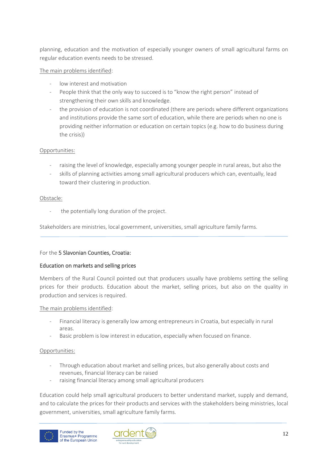planning, education and the motivation of especially younger owners of small agricultural farms on regular education events needs to be stressed.

# The main problems identified:

- low interest and motivation
- People think that the only way to succeed is to "know the right person" instead of strengthening their own skills and knowledge.
- the provision of education is not coordinated (there are periods where different organizations and institutions provide the same sort of education, while there are periods when no one is providing neither information or education on certain topics (e.g. how to do business during the crisis))

# Opportunities:

- raising the level of knowledge, especially among younger people in rural areas, but also the
- skills of planning activities among small agricultural producers which can, eventually, lead toward their clustering in production.

## Obstacle:

the potentially long duration of the project.

Stakeholders are ministries, local government, universities, small agriculture family farms.

## For the 5 Slavonian Counties, Croatia:

## Education on markets and selling prices

Members of the Rural Council pointed out that producers usually have problems setting the selling prices for their products. Education about the market, selling prices, but also on the quality in production and services is required.

## The main problems identified:

- Financial literacy is generally low among entrepreneurs in Croatia, but especially in rural areas.
- Basic problem is low interest in education, especially when focused on finance.

## Opportunities:

- Through education about market and selling prices, but also generally about costs and revenues, financial literacy can be raised
- raising financial literacy among small agricultural producers

Education could help small agricultural producers to better understand market, supply and demand, and to calculate the prices for their products and services with the stakeholders being ministries, local government, universities, small agriculture family farms.



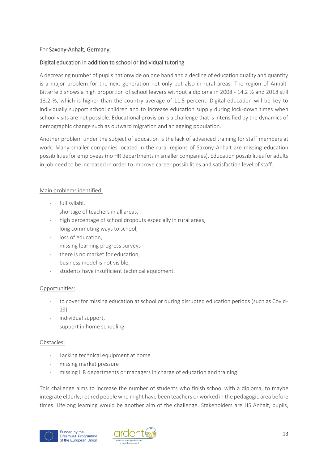# For Saxony-Anhalt, Germany:

# Digital education in addition to school or individual tutoring

A decreasing number of pupils nationwide on one hand and a decline of education quality and quantity is a major problem for the next generation not only but also in rural areas. The region of Anhalt-Bitterfeld shows a high proportion of school leavers without a diploma in 2008 - 14.2 % and 2018 still 13.2 %, which is higher than the country average of 11.5 percent. Digital education will be key to individually support school children and to increase education supply during lock-down times when school visits are not possible. Educational provision is a challenge that is intensified by the dynamics of demographic change such as outward migration and an ageing population.

Another problem under the subject of education is the lack of advanced training for staff members at work. Many smaller companies located in the rural regions of Saxony-Anhalt are missing education possibilities for employees (no HR departments in smaller companies). Education possibilities for adults in job need to be increased in order to improve career possibilities and satisfaction level of staff.

## Main problems identified:

- full syllabi.
- shortage of teachers in all areas.
- high percentage of school dropouts especially in rural areas,
- long commuting ways to school.
- loss of education,
- missing learning progress surveys
- there is no market for education,
- business model is not visible.
- students have insufficient technical equipment.

## Opportunities:

- to cover for missing education at school or during disrupted education periods (such as Covid-19)
- individual support,
- support in home schooling

#### Obstacles:

- Lacking technical equipment at home
- missing market pressure
- missing HR departments or managers in charge of education and training

This challenge aims to increase the number of students who finish school with a diploma, to maybe integrate elderly, retired people who might have been teachers or worked in the pedagogic area before times. Lifelong learning would be another aim of the challenge. Stakeholders are HS Anhalt, pupils,



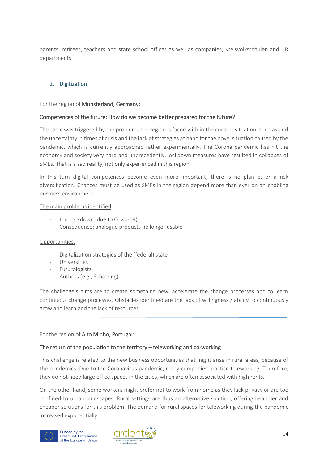parents, retirees, teachers and state school offices as well as companies, Kreisvolksschulen and HR departments.

# <span id="page-16-0"></span>2. Digitization

For the region of Münsterland, Germany:

## Competences of the future: How do we become better prepared for the future?

The topic was triggered by the problems the region is faced with in the current situation, such as and the uncertainty in times of crisis and the lack of strategies at hand for the novel situation caused by the pandemic, which is currently approached rather experimentally. The Corona pandemic has hit the economy and society very hard and unprecedently, lockdown measures have resulted in collapses of SMEs. That is a sad reality, not only experienced in this region.

In this turn digital competences become even more important, there is no plan b, or a risk diversification. Chances must be used as SMEs in the region depend more than ever on an enabling business environment.

#### The main problems identified:

- the Lockdown (due to Covid-19)
- Consequence: analogue products no longer usable

#### Opportunities:

- Digitalization strategies of the (federal) state
- **Universities**
- **Futurologists**
- Authors (e.g., Schätzing)

The challenge's aims are to create something new, accelerate the change processes and to learn continuous change processes. Obstacles identified are the lack of willingness / ability to continuously grow and learn and the lack of resources.

#### For the region of Alto Minho, Portugal:

#### The return of the population to the territory – teleworking and co-working

This challenge is related to the new business opportunities that might arise in rural areas, because of the pandemics. Due to the Coronavirus pandemic, many companies practice teleworking. Therefore, they do not need large office spaces in the cities, which are often associated with high rents.

On the other hand, some workers might prefer not to work from home as they lack privacy or are too confined to urban landscapes. Rural settings are thus an alternative solution, offering healthier and cheaper solutions for this problem. The demand for rural spaces for teleworking during the pandemic increased exponentially.



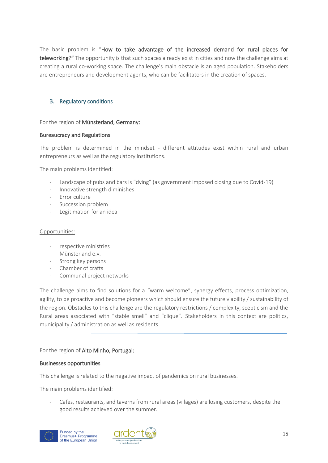The basic problem is "How to take advantage of the increased demand for rural places for teleworking?" The opportunity is that such spaces already exist in cities and now the challenge aims at creating a rural co-working space. The challenge's main obstacle is an aged population. Stakeholders are entrepreneurs and development agents, who can be facilitators in the creation of spaces.

# <span id="page-17-0"></span>3. Regulatory conditions

#### For the region of Münsterland, Germany:

#### Bureaucracy and Regulations

The problem is determined in the mindset - different attitudes exist within rural and urban entrepreneurs as well as the regulatory institutions.

#### The main problems identified:

- Landscape of pubs and bars is "dying" (as government imposed closing due to Covid-19)
- Innovative strength diminishes
- Error culture
- Succession problem
- Legitimation for an idea

#### Opportunities:

- respective ministries
- Münsterland e.v.
- Strong key persons
- Chamber of crafts
- Communal project networks

The challenge aims to find solutions for a "warm welcome", synergy effects, process optimization, agility, to be proactive and become pioneers which should ensure the future viability / sustainability of the region. Obstacles to this challenge are the regulatory restrictions / complexity, scepticism and the Rural areas associated with "stable smell" and "clique". Stakeholders in this context are politics, municipality / administration as well as residents.

#### For the region of Alto Minho, Portugal:

#### Businesses opportunities

This challenge is related to the negative impact of pandemics on rural businesses.

The main problems identified:

Cafes, restaurants, and taverns from rural areas (villages) are losing customers, despite the good results achieved over the summer.



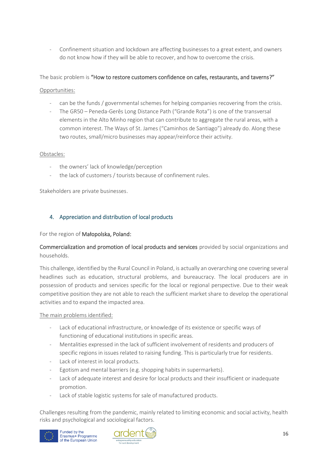Confinement situation and lockdown are affecting businesses to a great extent, and owners do not know how if they will be able to recover, and how to overcome the crisis.

# The basic problem is "How to restore customers confidence on cafes, restaurants, and taverns?"

## Opportunities:

- can be the funds / governmental schemes for helping companies recovering from the crisis.
- The GR50 Peneda-Gerês Long Distance Path ("Grande Rota") is one of the transversal elements in the Alto Minho region that can contribute to aggregate the rural areas, with a common interest. The Ways of St. James ("Caminhos de Santiago") already do. Along these two routes, small/micro businesses may appear/reinforce their activity.

#### Obstacles:

- the owners' lack of knowledge/perception
- the lack of customers / tourists because of confinement rules.

Stakeholders are private businesses.

# <span id="page-18-0"></span>4. Appreciation and distribution of local products

For the region of Małopolska, Poland:

# Commercialization and promotion of local products and services provided by social organizations and households.

This challenge, identified by the Rural Council in Poland, is actually an overarching one covering several headlines such as education, structural problems, and bureaucracy. The local producers are in possession of products and services specific for the local or regional perspective. Due to their weak competitive position they are not able to reach the sufficient market share to develop the operational activities and to expand the impacted area.

The main problems identified:

- Lack of educational infrastructure, or knowledge of its existence or specific ways of functioning of educational institutions in specific areas.
- Mentalities expressed in the lack of sufficient involvement of residents and producers of specific regions in issues related to raising funding. This is particularly true for residents.
- Lack of interest in local products.
- Egotism and mental barriers (e.g. shopping habits in supermarkets).
- Lack of adequate interest and desire for local products and their insufficient or inadequate promotion.
- Lack of stable logistic systems for sale of manufactured products.

Challenges resulting from the pandemic, mainly related to limiting economic and social activity, health risks and psychological and sociological factors.



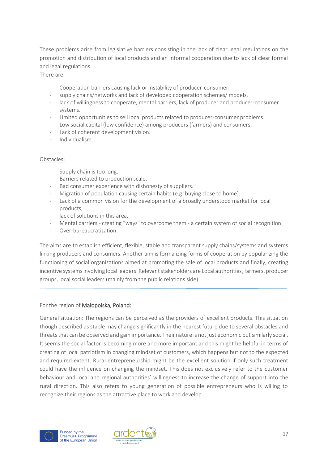These problems arise from legislative barriers consisting in the lack of clear legal regulations on the promotion and distribution of local products and an informal cooperation due to lack of clear formal and legal regulations.

There are:

- Cooperation barriers causing lack or instability of producer-consumer.
- supply chains/networks and lack of developed cooperation schemes/ models,
- lack of willingness to cooperate, mental barriers, lack of producer and producer-consumer systems.
- Limited opportunities to sell local products related to producer-consumer problems.
- Low social capital (low confidence) among producers (farmers) and consumers.
- Lack of coherent development vision.
- Individualism.

## Obstacles:

- Supply chain is too long.
- Barriers related to production scale.
- Bad consumer experience with dishonesty of suppliers.
- Migration of population causing certain habits (e.g. buying close to home).
- Lack of a common vision for the development of a broadly understood market for local products,
- lack of solutions in this area.
- Mental barriers creating "ways" to overcome them a certain system of social recognition
- Over-bureaucratization

The aims are to establish efficient, flexible, stable and transparent supply chains/systems and systems linking producers and consumers. Another aim is formalizing forms of cooperation by popularizing the functioning of social organizations aimed at promoting the sale of local products and finally, creating incentive systems involving local leaders. Relevant stakeholders are Local authorities, farmers, producer groups, local social leaders (mainly from the public relations side).

For the region of Małopolska, Poland:

General situation: The regions can be perceived as the providers of excellent products. This situation though described as stable may change significantly in the nearest future due to several obstacles and threats that can be observed and gain importance. Their nature is not just economic but similarly social. It seems the social factor is becoming more and more important and this might be helpful in terms of creating of local patriotism in changing mindset of customers, which happens but not to the expected and required extent. Rural entrepreneurship might be the excellent solution if only such treatment could have the influence on changing the mindset. This does not exclusively refer to the customer behaviour and local and regional authorities' willingness to increase the change of support into the rural direction. This also refers to young generation of possible entrepreneurs who is willing to recognize their regions as the attractive place to work and develop.



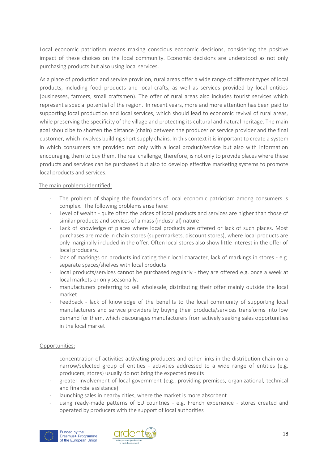Local economic patriotism means making conscious economic decisions, considering the positive impact of these choices on the local community. Economic decisions are understood as not only purchasing products but also using local services.

As a place of production and service provision, rural areas offer a wide range of different types of local products, including food products and local crafts, as well as services provided by local entities (businesses, farmers, small craftsmen). The offer of rural areas also includes tourist services which represent a special potential of the region. In recent years, more and more attention has been paid to supporting local production and local services, which should lead to economic revival of rural areas, while preserving the specificity of the village and protecting its cultural and natural heritage. The main goal should be to shorten the distance (chain) between the producer or service provider and the final customer, which involves building short supply chains. In this context it is important to create a system in which consumers are provided not only with a local product/service but also with information encouraging them to buy them. The real challenge, therefore, is not only to provide places where these products and services can be purchased but also to develop effective marketing systems to promote local products and services.

## The main problems identified:

- The problem of shaping the foundations of local economic patriotism among consumers is complex. The following problems arise here:
- Level of wealth quite often the prices of local products and services are higher than those of similar products and services of a mass (industrial) nature
- Lack of knowledge of places where local products are offered or lack of such places. Most purchases are made in chain stores (supermarkets, discount stores), where local products are only marginally included in the offer. Often local stores also show little interest in the offer of local producers.
- lack of markings on products indicating their local character, lack of markings in stores e.g. separate spaces/shelves with local products
- local products/services cannot be purchased regularly they are offered e.g. once a week at local markets or only seasonally.
- manufacturers preferring to sell wholesale, distributing their offer mainly outside the local market
- Feedback lack of knowledge of the benefits to the local community of supporting local manufacturers and service providers by buying their products/services transforms into low demand for them, which discourages manufacturers from actively seeking sales opportunities in the local market

## Opportunities:

- concentration of activities activating producers and other links in the distribution chain on a narrow/selected group of entities - activities addressed to a wide range of entities (e.g. producers, stores) usually do not bring the expected results
- greater involvement of local government (e.g., providing premises, organizational, technical and financial assistance)
- launching sales in nearby cities, where the market is more absorbent
- using ready-made patterns of EU countries e.g. French experience stores created and operated by producers with the support of local authorities



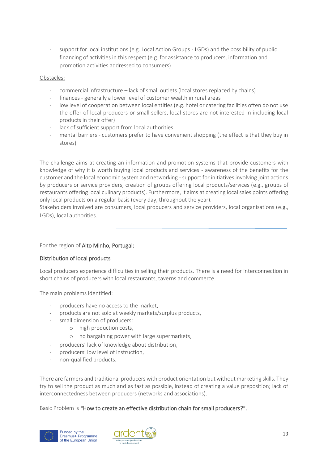support for local institutions (e.g. Local Action Groups - LGDs) and the possibility of public financing of activities in this respect (e.g. for assistance to producers, information and promotion activities addressed to consumers)

#### Obstacles:

- commercial infrastructure lack of small outlets (local stores replaced by chains)
- finances generally a lower level of customer wealth in rural areas
- low level of cooperation between local entities (e.g. hotel or catering facilities often do not use the offer of local producers or small sellers, local stores are not interested in including local products in their offer)
- lack of sufficient support from local authorities
- mental barriers customers prefer to have convenient shopping (the effect is that they buy in stores)

The challenge aims at creating an information and promotion systems that provide customers with knowledge of why it is worth buying local products and services - awareness of the benefits for the customer and the local economic system and networking - support for initiatives involving joint actions by producers or service providers, creation of groups offering local products/services (e.g., groups of restaurants offering local culinary products). Furthermore, it aims at creating local sales points offering only local products on a regular basis (every day, throughout the year).

Stakeholders involved are consumers, local producers and service providers, local organisations (e.g., LGDs), local authorities.

## For the region of Alto Minho, Portugal:

## Distribution of local products

Local producers experience difficulties in selling their products. There is a need for interconnection in short chains of producers with local restaurants, taverns and commerce.

## The main problems identified:

- producers have no access to the market.
- products are not sold at weekly markets/surplus products,
- small dimension of producers:
	- o high production costs,
	- o no bargaining power with large supermarkets,
	- producers' lack of knowledge about distribution,
- producers' low level of instruction,
- non-qualified products.

There are farmers and traditional producers with product orientation but without marketing skills. They try to sell the product as much and as fast as possible, instead of creating a value preposition; lack of interconnectedness between producers (networks and associations).

Basic Problem is *"*How to create an effective distribution chain for small producers?".



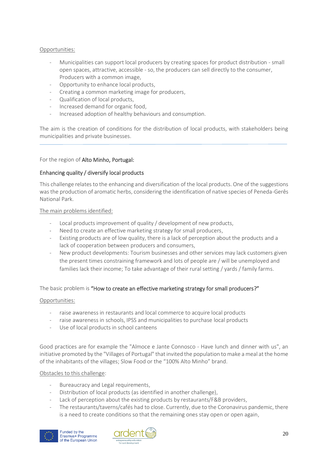#### Opportunities:

- Municipalities can support local producers by creating spaces for product distribution small open spaces, attractive, accessible - so, the producers can sell directly to the consumer, Producers with a common image,
- Opportunity to enhance local products,
- Creating a common marketing image for producers,
- Qualification of local products,
- Increased demand for organic food,
- Increased adoption of healthy behaviours and consumption.

The aim is the creation of conditions for the distribution of local products, with stakeholders being municipalities and private businesses.

#### For the region of Alto Minho, Portugal:

#### Enhancing quality / diversify local products

This challenge relates to the enhancing and diversification of the local products. One of the suggestions was the production of aromatic herbs, considering the identification of native species of Peneda-Gerês National Park.

#### The main problems identified:

- Local products improvement of quality / development of new products,
- Need to create an effective marketing strategy for small producers,
- Existing products are of low quality, there is a lack of perception about the products and a lack of cooperation between producers and consumers,
- New product developments: Tourism businesses and other services may lack customers given the present times constraining framework and lots of people are / will be unemployed and families lack their income; To take advantage of their rural setting / yards / family farms.

#### The basic problem is "How to create an effective marketing strategy for small producers?"

#### Opportunities:

- raise awareness in restaurants and local commerce to acquire local products
- raise awareness in schools, IPSS and municipalities to purchase local products
- Use of local products in school canteens

Good practices are for example the "Almoce e Jante Connosco - Have lunch and dinner with us", an initiative promoted by the "Villages of Portugal" that invited the population to make a meal at the home of the inhabitants of the villages; Slow Food or the "100% Alto Minho" brand.

#### Obstacles to this challenge:

- Bureaucracy and Legal requirements,
- Distribution of local products (as identified in another challenge),
- Lack of perception about the existing products by restaurants/F&B providers,
- The restaurants/taverns/cafés had to close. Currently, due to the Coronavirus pandemic, there is a need to create conditions so that the remaining ones stay open or open again,



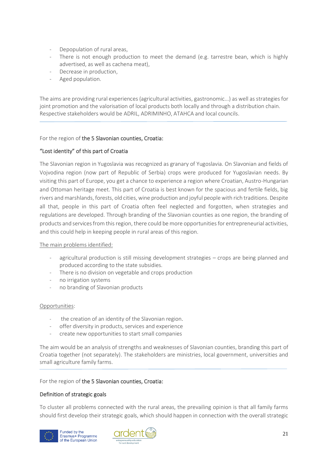- Depopulation of rural areas,
- There is not enough production to meet the demand (e.g. tarrestre bean, which is highly advertised, as well as cachena meat),
- Decrease in production.
- Aged population.

The aims are providing rural experiences (agricultural activities, gastronomic...) as well as strategies for joint promotion and the valorisation of local products both locally and through a distribution chain. Respective stakeholders would be ADRIL, ADRIMINHO, ATAHCA and local councils.

## For the region of the 5 Slavonian counties, Croatia:

## "Lost identity" of this part of Croatia

The Slavonian region in Yugoslavia was recognized as granary of Yugoslavia. On Slavonian and fields of Vojvodina region (now part of Republic of Serbia) crops were produced for Yugoslavian needs. By visiting this part of Europe, you get a chance to experience a region where Croatian, Austro-Hungarian and Ottoman heritage meet. This part of Croatia is best known for the spacious and fertile fields, big rivers and marshlands, forests, old cities, wine production and joyful people with rich traditions. Despite all that, people in this part of Croatia often feel neglected and forgotten, when strategies and regulations are developed. Through branding of the Slavonian counties as one region, the branding of products and services from this region, there could be more opportunities for entrepreneurial activities, and this could help in keeping people in rural areas of this region.

## The main problems identified:

- agricultural production is still missing development strategies crops are being planned and produced according to the state subsidies.
- There is no division on vegetable and crops production
- no irrigation systems
- no branding of Slavonian products

#### Opportunities:

- the creation of an identity of the Slavonian region.
- offer diversity in products, services and experience
- create new opportunities to start small companies

The aim would be an analysis of strengths and weaknesses of Slavonian counties, branding this part of Croatia together (not separately). The stakeholders are ministries, local government, universities and small agriculture family farms.

For the region of the 5 Slavonian counties, Croatia:

## Definition of strategic goals

To cluster all problems connected with the rural areas, the prevailing opinion is that all family farms should first develop their strategic goals, which should happen in connection with the overall strategic



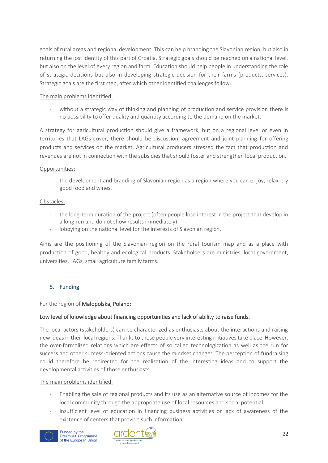goals of rural areas and regional development. This can help branding the Slavonian region, but also in returning the lost identity of this part of Croatia. Strategic goals should be reached on a national level, but also on the level of every region and farm. Education should help people in understanding the role of strategic decisions but also in developing strategic decision for their farms (products, services). Strategic goals are the first step, after which other identified challenges follow.

# The main problems identified:

without a strategic way of thinking and planning of production and service provision there is no possibility to offer quality and quantity according to the demand on the market.

A strategy for agricultural production should give a framework, but on a regional level or even in territories that LAGs cover, there should be discussion, agreement and joint planning for offering products and services on the market. Agricultural producers stressed the fact that production and revenues are not in connection with the subsidies that should foster and strengthen local production.

## Opportunities:

the development and branding of Slavonian region as a region where you can enjoy, relax, try good food and wines.

# Obstacles:

- the long-term duration of the project (often people lose interest in the project that develop in a long run and do not show results immediately)
- lobbying on the national level for the interests of Slavonian region.

Aims are the positioning of the Slavonian region on the rural tourism map and as a place with production of good, healthy and ecological products. Stakeholders are ministries, local government, universities, LAGs, small agriculture family farms.

# <span id="page-24-0"></span>5. Funding

For the region of Małopolska, Poland:

# Low level of knowledge about financing opportunities and lack of ability to raise funds.

The local actors (stakeholders) can be characterized as enthusiasts about the interactions and raising new ideas in their local regions. Thanks to those people very interesting initiatives take place. However, the over-formalized relations which are effects of so called technologization as well as the run for success and other success-oriented actions cause the mindset changes. The perception of fundraising could therefore be redirected for the realization of the interesting ideas and to support the developmental activities of those enthusiasts.

## The main problems identified:

- Enabling the sale of regional products and its use as an alternative source of incomes for the local community through the appropriate use of local resources and social potential.
- Insufficient level of education in financing business activities or lack of awareness of the existence of centers that provide such information.



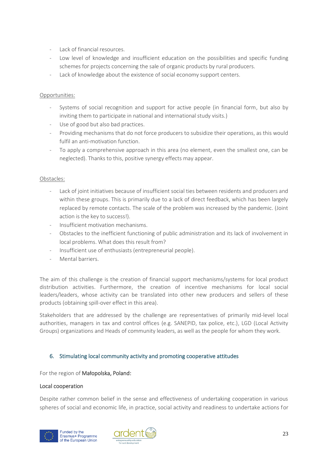- Lack of financial resources.
- Low level of knowledge and insufficient education on the possibilities and specific funding schemes for projects concerning the sale of organic products by rural producers.
- Lack of knowledge about the existence of social economy support centers.

## Opportunities:

- Systems of social recognition and support for active people (in financial form, but also by inviting them to participate in national and international study visits.)
- Use of good but also bad practices.
- Providing mechanisms that do not force producers to subsidize their operations, as this would fulfil an anti-motivation function.
- To apply a comprehensive approach in this area (no element, even the smallest one, can be neglected). Thanks to this, positive synergy effects may appear.

# Obstacles:

- Lack of joint initiatives because of insufficient social ties between residents and producers and within these groups. This is primarily due to a lack of direct feedback, which has been largely replaced by remote contacts. The scale of the problem was increased by the pandemic. (Joint action is the key to success!).
- Insufficient motivation mechanisms.
- Obstacles to the inefficient functioning of public administration and its lack of involvement in local problems. What does this result from?
- Insufficient use of enthusiasts (entrepreneurial people).
- Mental barriers.

The aim of this challenge is the creation of financial support mechanisms/systems for local product distribution activities. Furthermore, the creation of incentive mechanisms for local social leaders/leaders, whose activity can be translated into other new producers and sellers of these products (obtaining spill-over effect in this area).

Stakeholders that are addressed by the challenge are representatives of primarily mid-level local authorities, managers in tax and control offices (e.g. SANEPID, tax police, etc.), LGD (Local Activity Groups) organizations and Heads of community leaders, as well as the people for whom they work.

## <span id="page-25-0"></span>6. Stimulating local community activity and promoting cooperative attitudes

For the region of Małopolska, Poland:

## Local cooperation

Despite rather common belief in the sense and effectiveness of undertaking cooperation in various spheres of social and economic life, in practice, social activity and readiness to undertake actions for



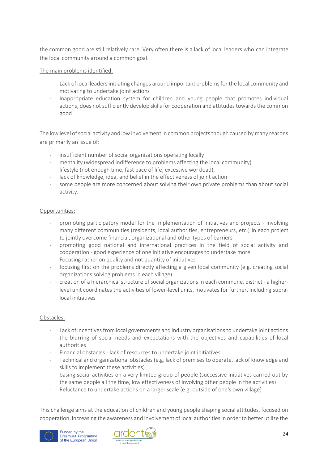the common good are still relatively rare. Very often there is a lack of local leaders who can integrate the local community around a common goal.

# The main problems identified:

- Lack of local leaders initiating changes around important problems for the local community and motivating to undertake joint actions
- Inappropriate education system for children and young people that promotes individual actions, does not sufficiently develop skills for cooperation and attitudes towards the common good

The low level of social activity and low involvement in common projects though caused by many reasons are primarily an issue of:

- insufficient number of social organizations operating locally
- mentality (widespread indifference to problems affecting the local community)
- lifestyle (not enough time, fast pace of life, excessive workload),
- lack of knowledge, idea, and belief in the effectiveness of joint action
- some people are more concerned about solving their own private problems than about social activity.

#### Opportunities:

- promoting participatory model for the implementation of initiatives and projects involving many different communities (residents, local authorities, entrepreneurs, etc.) in each project to jointly overcome financial, organizational and other types of barriers
- promoting good national and international practices in the field of social activity and cooperation - good experience of one initiative encourages to undertake more
- Focusing rather on quality and not quantity of initiatives
- focusing first on the problems directly affecting a given local community (e.g. creating social organizations solving problems in each village)
- creation of a hierarchical structure of social organizations in each commune, district a higherlevel unit coordinates the activities of lower-level units, motivates for further, including supralocal initiatives

## Obstacles:

- Lack of incentives from local governments and industry organisations to undertake joint actions
- the blurring of social needs and expectations with the objectives and capabilities of local authorities
- Financial obstacles lack of resources to undertake joint initiatives
- Technical and organizational obstacles (e.g. lack of premises to operate, lack of knowledge and skills to implement these activities)
- basing social activities on a very limited group of people (successive initiatives carried out by the same people all the time, low effectiveness of involving other people in the activities)
- Reluctance to undertake actions on a larger scale (e.g. outside of one's own village)

This challenge aims at the education of children and young people shaping social attitudes, focused on cooperation, increasing the awareness and involvement of local authorities in order to better utilize the



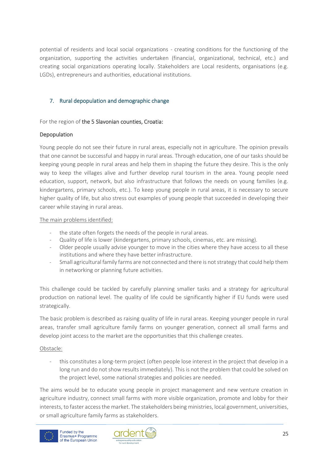potential of residents and local social organizations - creating conditions for the functioning of the organization, supporting the activities undertaken (financial, organizational, technical, etc.) and creating social organizations operating locally. Stakeholders are Local residents, organisations (e.g. LGDs), entrepreneurs and authorities, educational institutions.

# <span id="page-27-0"></span>7. Rural depopulation and demographic change

# For the region of the 5 Slavonian counties, Croatia:

# Depopulation

Young people do not see their future in rural areas, especially not in agriculture. The opinion prevails that one cannot be successful and happy in rural areas. Through education, one of our tasks should be keeping young people in rural areas and help them in shaping the future they desire. This is the only way to keep the villages alive and further develop rural tourism in the area. Young people need education, support, network, but also infrastructure that follows the needs on young families (e.g. kindergartens, primary schools, etc.). To keep young people in rural areas, it is necessary to secure higher quality of life, but also stress out examples of young people that succeeded in developing their career while staying in rural areas.

# The main problems identified:

- the state often forgets the needs of the people in rural areas.
- Quality of life is lower (kindergartens, primary schools, cinemas, etc. are missing).
- Older people usually advise younger to move in the cities where they have access to all these institutions and where they have better infrastructure.
- Small agricultural family farms are not connected and there is not strategy that could help them in networking or planning future activities.

This challenge could be tackled by carefully planning smaller tasks and a strategy for agricultural production on national level. The quality of life could be significantly higher if EU funds were used strategically.

The basic problem is described as raising quality of life in rural areas. Keeping younger people in rural areas, transfer small agriculture family farms on younger generation, connect all small farms and develop joint access to the market are the opportunities that this challenge creates.

# Obstacle:

this constitutes a long-term project (often people lose interest in the project that develop in a long run and do not show results immediately). This is not the problem that could be solved on the project level, some national strategies and policies are needed.

The aims would be to educate young people in project management and new venture creation in agriculture industry, connect small farms with more visible organization, promote and lobby for their interests, to faster access the market. The stakeholders being ministries, local government, universities, or small agriculture family farms as stakeholders.



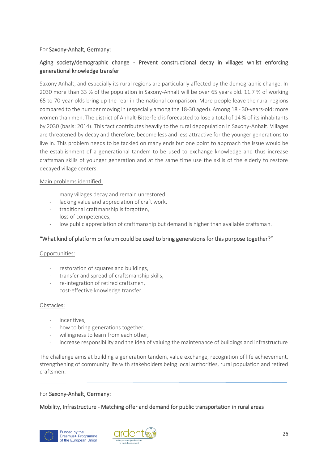# For Saxony-Anhalt, Germany:

# Aging society/demographic change - Prevent constructional decay in villages whilst enforcing generational knowledge transfer

Saxony Anhalt, and especially its rural regions are particularly affected by the demographic change. In 2030 more than 33 % of the population in Saxony-Anhalt will be over 65 years old. 11.7 % of working 65 to 70-year-olds bring up the rear in the national comparison. More people leave the rural regions compared to the number moving in (especially among the 18-30 aged). Among 18 - 30-years-old: more women than men. The district of Anhalt-Bitterfeld is forecasted to lose a total of 14 % of its inhabitants by 2030 (basis: 2014). This fact contributes heavily to the rural depopulation in Saxony-Anhalt. Villages are threatened by decay and therefore, become less and less attractive for the younger generations to live in. This problem needs to be tackled on many ends but one point to approach the issue would be the establishment of a generational tandem to be used to exchange knowledge and thus increase craftsman skills of younger generation and at the same time use the skills of the elderly to restore decayed village centers.

## Main problems identified:

- many villages decay and remain unrestored
- lacking value and appreciation of craft work.
- traditional craftmanship is forgotten.
- loss of competences.
- low public appreciation of craftmanship but demand is higher than available craftsman.

# "What kind of platform or forum could be used to bring generations for this purpose together?"

#### Opportunities:

- restoration of squares and buildings.
- transfer and spread of craftsmanship skills,
- re-integration of retired craftsmen,
- cost-effective knowledge transfer

## Obstacles:

- incentives,
- how to bring generations together,
- willingness to learn from each other.
- increase responsibility and the idea of valuing the maintenance of buildings and infrastructure

The challenge aims at building a generation tandem, value exchange, recognition of life achievement, strengthening of community life with stakeholders being local authorities, rural population and retired craftsmen.

## For Saxony-Anhalt, Germany:

## Mobility, Infrastructure - Matching offer and demand for public transportation in rural areas



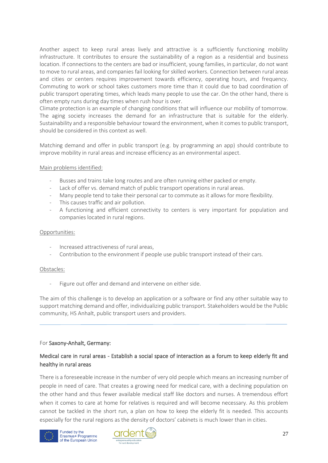Another aspect to keep rural areas lively and attractive is a sufficiently functioning mobility infrastructure. It contributes to ensure the sustainability of a region as a residential and business location. If connections to the centers are bad or insufficient, young families, in particular, do not want to move to rural areas, and companies fail looking for skilled workers. Connection between rural areas and cities or centers requires improvement towards efficiency, operating hours, and frequency. Commuting to work or school takes customers more time than it could due to bad coordination of public transport operating times, which leads many people to use the car. On the other hand, there is often empty runs during day times when rush hour is over.

Climate protection is an example of changing conditions that will influence our mobility of tomorrow. The aging society increases the demand for an infrastructure that is suitable for the elderly. Sustainability and a responsible behaviour toward the environment, when it comes to public transport, should be considered in this context as well.

Matching demand and offer in public transport (e.g. by programming an app) should contribute to improve mobility in rural areas and increase efficiency as an environmental aspect.

#### Main problems identified:

- Busses and trains take long routes and are often running either packed or empty.
- Lack of offer vs. demand match of public transport operations in rural areas.
- Many people tend to take their personal car to commute as it allows for more flexibility.
- This causes traffic and air pollution.
- A functioning and efficient connectivity to centers is very important for population and companies located in rural regions.

#### Opportunities:

- Increased attractiveness of rural areas,
- Contribution to the environment if people use public transport instead of their cars.

#### Obstacles:

Figure out offer and demand and intervene on either side.

The aim of this challenge is to develop an application or a software or find any other suitable way to support matching demand and offer, individualizing public transport. Stakeholders would be the Public community, HS Anhalt, public transport users and providers.

#### For Saxony-Anhalt, Germany:

# Medical care in rural areas - Establish a social space of interaction as a forum to keep elderly fit and healthy in rural areas

There is a foreseeable increase in the number of very old people which means an increasing number of people in need of care. That creates a growing need for medical care, with a declining population on the other hand and thus fewer available medical staff like doctors and nurses. A tremendous effort when it comes to care at home for relatives is required and will become necessary. As this problem cannot be tackled in the short run, a plan on how to keep the elderly fit is needed. This accounts especially for the rural regions as the density of doctors' cabinets is much lower than in cities.



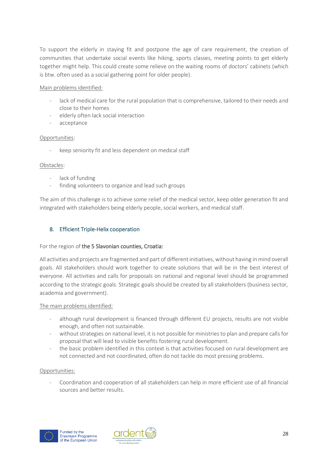To support the elderly in staying fit and postpone the age of care requirement, the creation of communities that undertake social events like hiking, sports classes, meeting points to get elderly together might help. This could create some relieve on the waiting rooms of doctors' cabinets (which is btw. often used as a social gathering point for older people).

## Main problems identified:

- lack of medical care for the rural population that is comprehensive, tailored to their needs and close to their homes
- elderly often lack social interaction
- acceptance

# Opportunities:

keep seniority fit and less dependent on medical staff

# Obstacles:

- lack of funding
- finding volunteers to organize and lead such groups

The aim of this challenge is to achieve some relief of the medical sector, keep older generation fit and integrated with stakeholders being elderly people, social workers, and medical staff.

# <span id="page-30-0"></span>8. Efficient Triple-Helix cooperation

## For the region of the 5 Slavonian counties, Croatia:

All activities and projects are fragmented and part of different initiatives, without having in mind overall goals. All stakeholders should work together to create solutions that will be in the best interest of everyone. All activities and calls for proposals on national and regional level should be programmed according to the strategic goals. Strategic goals should be created by all stakeholders (business sector, academia and government).

## The main problems identified:

- although rural development is financed through different EU projects, results are not visible enough, and often not sustainable.
- without strategies on national level, it is not possible for ministries to plan and prepare calls for proposal that will lead to visible benefits fostering rural development.
- the basic problem identified in this context is that activities focused on rural development are not connected and not coordinated, often do not tackle do most pressing problems.

## Opportunities:

- Coordination and cooperation of all stakeholders can help in more efficient use of all financial sources and better results.



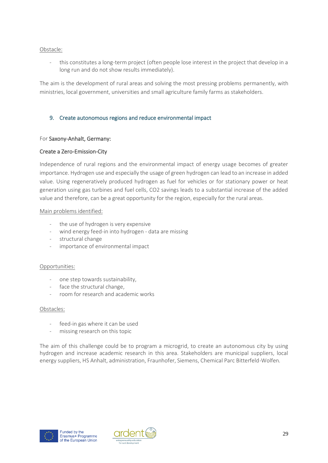#### Obstacle:

this constitutes a long-term project (often people lose interest in the project that develop in a long run and do not show results immediately).

The aim is the development of rural areas and solving the most pressing problems permanently, with ministries, local government, universities and small agriculture family farms as stakeholders.

## <span id="page-31-0"></span>9. Create autonomous regions and reduce environmental impact

#### For Saxony-Anhalt, Germany:

#### Create a Zero-Emission-City

Independence of rural regions and the environmental impact of energy usage becomes of greater importance. Hydrogen use and especially the usage of green hydrogen can lead to an increase in added value. Using regeneratively produced hydrogen as fuel for vehicles or for stationary power or heat generation using gas turbines and fuel cells, CO2 savings leads to a substantial increase of the added value and therefore, can be a great opportunity for the region, especially for the rural areas.

#### Main problems identified:

- the use of hydrogen is very expensive
- wind energy feed-in into hydrogen data are missing
- structural change
- importance of environmental impact

#### Opportunities:

- one step towards sustainability,
- face the structural change,
- room for research and academic works

#### Obstacles:

- feed-in gas where it can be used
- missing research on this topic

The aim of this challenge could be to program a microgrid, to create an autonomous city by using hydrogen and increase academic research in this area. Stakeholders are municipal suppliers, local energy suppliers, HS Anhalt, administration, Fraunhofer, Siemens, Chemical Parc Bitterfeld-Wolfen*.*